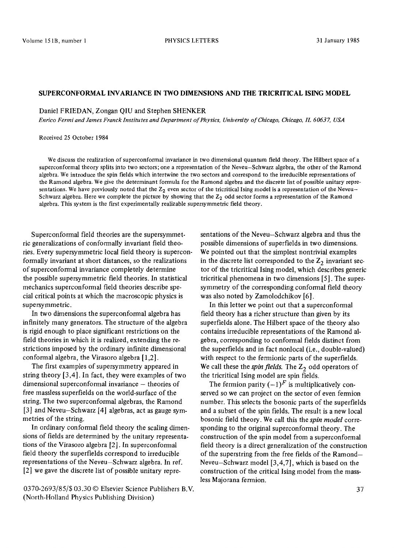## **SUPERCONFORMAL INVARIANCE IN TWO DIMENSIONS AND THE TRICRITICAL ISING MODEL**

## Daniel FRIEDAN, Zongan QIU and Stephen SHENKER

*Enrico Fermi and James Franck Institutes and Department of Physics, University of Chicago, Chicago, IL 60637, USA* 

Received 25 October 1984

We discuss the realization of superconformal invariance in two dimensional quantum field theory. The Hilbert space of a superconformal theory splits into two sectors; one a representation of the Neveu-Schwarz algebra, the other of the Ramond algebra. We introduce the spin fields which intertwine the two sectors and correspond to the irreducible representations of the Ramond algebra. We give the determinant formula for the Ramond algebra and the discrete list of possible unitary representations. We have previously noted that the  $Z_2$  even sector of the tricritical Ising model is a representation of the Neveu-Schwarz algebra. Here we complete the picture by showing that the  $Z<sub>2</sub>$  odd sector forms a representation of the Ramond algebra. This system is the first experimentally realizable supersymmetric field theory.

Superconformal field theories are the supersymmetric generalizations of conformally invariant field theories. Every supersymmetric local field theory is superconformally invariant at short distances, so the realizations of superconformal invariance completely determine the possible supersymmetric field theories. In statistical mechanics superconformal field theories describe special critical points at which the macroscopic physics is supersymmetric.

In two dimensions the superconformal algebra has infinitely many generators. The structure of the algebra is rigid enough to place significant restrictions on the field theories in which it is realized, extending the restrictions imposed by the ordinary infinite dimensional conformal algebra, the Virasoro algebra [1,2].

The first examples of supersymmetry appeared in string theory [3,4]. In fact, they were examples of two dimensional superconformal invariance - theories of free massless superfields on the world-surface of the string. The two superconformal algebras, the Ramond [3] and Neveu-Schwarz [4] algebras, act as gauge symmetries of the string.

In ordinary conformal field theory the scaling dimensions of fields are determined by the unitary representations of the Virasoro algebra [2]. In superconformal field theory the superfields correspond to irreducible representations of the Neveu-Schwarz algebra. In ref. [2] we gave the discrete list of possible unitary repre-

0370-2693/85/\$ 03.30 © Elsevier Science Publishers B.V. (North-Holland Physics Publishing Division)

sentations of the Neveu-Schwarz algebra and thus the possible dimensions of superfields in two dimensions. We pointed out that the simplest nontrivial examples in the discrete list corresponded to the  $Z_2$  invariant sector of the tricritical Ising model, which describes generic tricritical phenomena in two dimensions [5]. The supersymmetry of the corresponding conformal field theory was also noted by Zamolodchikov [6].

In this letter we point out that a superconformal field theory has a richer structure than given by its superfields alone. The Hilbert space of the theory also contains irreducible representations of the Ramond algebra, corresponding to conformai fields distinct from the superfields and in fact nonlocal (i.e., double-valued) with respect to the fermionic parts of the superfields. We call these the *spin fields*. The  $Z_2$  odd operators of the tricritical Ising model are spin fields.

The fermion parity  $(-1)^F$  is multiplicatively conserved so we can project on the sector of even fermion number. This selects the bosonic parts of the superfields and a subset of the spin fields. The result is a new local bosonic field theory. We call this the *spin model* corresponding to the original superconformal theory. The construction of the spin model from a superconformal field theory is a direct generalization of the construction of the superstring from the free fields of the Ramond-Neveu-Schwarz model [3,4,7], which is based on the construction of the critical Ising model from the massless Majorana fermion.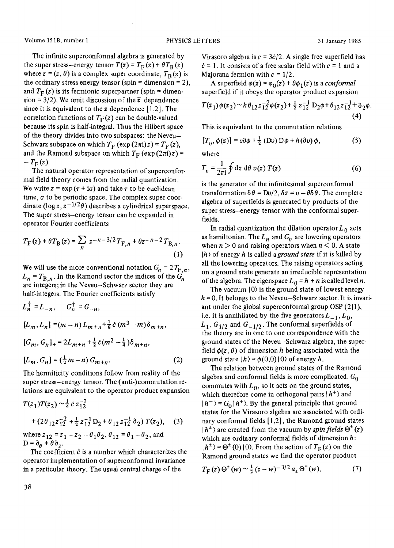The infinite superconformal algebra is generated by the super stress-energy tensor  $T(z) = T_F(z) + \theta T_B(z)$ where  $z = (z, \theta)$  is a complex super coordinate,  $T_B(z)$  is the ordinary stress energy tensor (spin = dimension = 2), and  $T_{\rm F}$  (z) is its fermionic superpartner (spin = dimension = 3/2). We omit discussion of the  $\bar{z}$  dependence since it is equivalent to the z dependence  $[1,2]$ . The correlation functions of  $T_{\rm F}(z)$  can be double-valued because its spin is half-integral. Thus the Hilbert space of the theory divides into two subspaces: the Neveu-Schwarz subspace on which  $T_F$  (exp  $(2\pi i)z$ ) =  $T_F(z)$ , and the Ramond subspace on which  $T_F$  (exp (2 $\pi i$ )z) =  $-T_{\rm F}(z)$ .

The natural operator representation of superconformal field theory comes from the radial quantization. We write  $z = \exp(r + i\sigma)$  and take  $\tau$  to be euclidean time,  $\sigma$  to be periodic space. The complex super coordinate ( $\log z$ ,  $z^{-1/2}\theta$ ) describes a cylindrical superspace. The super stress-energy tensor can be expanded in operator Fourier coefficients

$$
T_{\rm F}(z) + \theta T_{\rm B}(z) = \sum_{n} z^{-n-3/2} T_{{\rm F},n} + \theta z^{-n-2} T_{{\rm B},n}.
$$
\n(1)

We will use the more conventional notation  $G_n = 2T_{F,n}$ ,  $L_n = T_{B,n}$ . In the Ramond sector the indices of the  $G_n$ are integers; in the Neveu-Schwarz sector they are half-integers. The Fourier coefficients satisfy

$$
L_n^{\dagger} = L_{-n}, \t G_n^{\dagger} = G_{-n},
$$
  
\n
$$
[L_m, L_n] = (m - n) L_{m + n} + \frac{1}{8} \hat{c} (m^3 - m) \delta_{m + n},
$$
  
\n
$$
[G_m, G_n]_+ = 2L_{m + n} + \frac{1}{2} \hat{c} (m^2 - \frac{1}{4}) \delta_{m + n},
$$
  
\n
$$
[L_m, G_n] = (\frac{1}{2}m - n) G_{m + n}.
$$
\n(2)

The hermiticity conditions follow from reality of the super stress-energy tensor. The (anti-)commutation relations are equivalent to the operator product expansion

$$
T(z_1)T(z_2) \sim \frac{1}{4} \hat{c} z_{12}^{-3}
$$
  
+  $(2\theta_{12} z_{12}^{-2} + \frac{1}{2} z_{12}^{-1} D_2 + \theta_{12} z_{12}^{-1} \partial_2) T(z_2)$ , (3)

where  $z_{12} = z_1 - z_2 - \theta_1 \theta_2$ ,  $\theta_{12} = \theta_1 - \theta_2$ , and  $D = \partial_{\theta} + \theta \partial_{z}$ .

The coefficient  $\hat{c}$  is a number which characterizes the operator implementation of superconformal invariance in a particular theory. The usual central charge of the

Virasoro algebra is  $c = 3\hat{c}/2$ . A single free superfield has  $\hat{c} = 1$ . It consists of a free scalar field with  $c = 1$  and a Majorana fermion with  $c = 1/2$ .

A superfield  $\phi(z) = \phi_0(z) + \theta \phi_1(z)$  is a *conformal* superfield if it obeys the operator product expansion

$$
T(z_1)\phi(z_2)\sim h\theta_{12}z_{12}^{-2}\phi(z_2)+\frac{1}{2}z_{12}^{-1}D_2\phi+\theta_{12}z_{12}^{-1}+\partial_2\phi.
$$
\n(4)

This is equivalent to the commutation relations

$$
[T_v, \phi(z)] = v\partial \phi + \frac{1}{2} (Dv) D\phi + h(\partial v) \phi, \qquad (5)
$$

where

$$
T_v = \frac{1}{2\pi i} \oint dz d\theta v(z) T(z)
$$
 (6)

is the generator of the infinitesimal superconformal transformation  $\delta \theta = Dv/2$ ,  $\delta z = v - \theta \delta \theta$ . The complete algebra of superfields is generated by products of the super stress-energy tensor with the conformal superfields.

In radial quantization the dilation operator  $L_0$  acts as hamiltonian. The  $L_n$  and  $G_n$  are lowering operators when  $n > 0$  and raising operators when  $n < 0$ . A state Ih) of energy h is called *aground state* if it is killed by all the lowering operators. The raising operators acting on a ground state generate an irreducible representation of the algebra. The eigenspace  $L_0 = h + n$  is called level n.

The vacuum  $|0\rangle$  is the ground state of lowest energy  $h = 0$ . It belongs to the Neveu-Schwarz sector. It is invariant under the global superconformal group OSP (211), i.e. it is annihilated by the five generators  $L_{-1}$ ,  $L_0$ ,  $L_1$ ,  $G_{1/2}$  and  $G_{-1/2}$ . The conformal superfields of the theory are in one to one correspondence with the ground states of the Neveu-Schwarz algebra, the superfield  $\phi(z, \theta)$  of dimension h being associated with the ground state  $|h\rangle = \phi(0,0) |0\rangle$  of energy h.

The relation between ground states of the Ramond algebra and conformal fields is more complicated.  $G_0$ commutes with  $L_0$ , so it acts on the ground states, which therefore come in orthogonal pairs  $\langle h^+ \rangle$  and  $|h^{-} \rangle = G_0 | h^{+} \rangle$ . By the general principle that ground states for the Virasoro algebra are associated with ordinary conformal fields [ 1,2], the Ramond ground states  $|h^{\pm}$  are created from the vacuum by *spin fields*  $\Theta^{\pm}(z)$ which are ordinary conformal fields of dimension  $h$ :  $|h^{\pm}$  =  $\Theta^{\pm}(0)$  | 0). From the action of  $T_F(z)$  on the Ramond ground states we find the operator product

$$
T_{\rm F}(z)\,\Theta^{\rm t}(w)\sim\frac{1}{2}\,(z-w)^{-3/2}\,a_{\pm}\,\Theta^{\rm t}(w),\qquad \qquad (7)
$$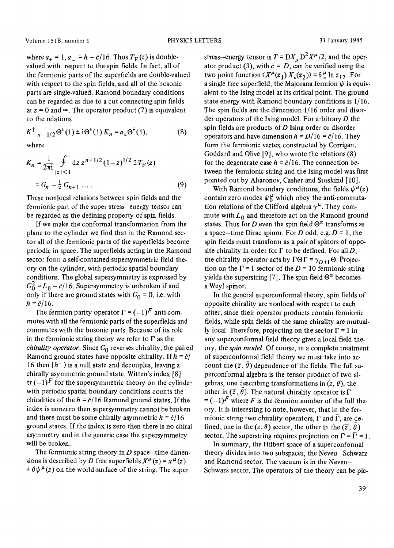where  $a_+ = 1$ ,  $a_- = h - \hat{c}/16$ . Thus  $T_F(z)$  is doublevalued with respect to the spin fields. In fact, all of the fermionic parts of the superfields are double-valued with respect to the spin fields, and all of the bosonic parts are single-valued. Ramond boundary conditions can be regarded as due to a cut connecting spin fields at  $z = 0$  and  $\infty$ . The operator product (7) is equivalent to the relations

where

$$
K_n = \frac{1}{2\pi i} \oint_{|z| < 1} dz \, z^{n+1/2} (1-z)^{1/2} \, 2 \, T_F(z)
$$
\n
$$
= G_n - \frac{1}{2} \, G_{n+1} \, \dots \tag{9}
$$

 $K_{-n-1/2}^{\dagger} \Theta^{\dagger}(1) \pm i \Theta^{\dagger}(1) K_n = a_+ \Theta^{\dagger}(1),$  (8)

These nonlocal relations between spin fields and the fermionic part of the super stress-energy tensor can be regarded as the defining property of spin fields.

If we make the conformal transformation from the plane to the cylinder we find that in the Ramond sector all of the fermionic parts of the superfields become periodic in space. The superfields acting in the Ramond sector form a self-contained supersymmetric field theory on the cylinder, with periodic spatial boundary conditions. The global supersymmetry is expressed by  $G_0^2 = L_0 - c/16$ . Supersymmetry is unbroken if and only if there are ground states with  $G_0 = 0$ , i.e. with  $h = \hat{c}/16$ .

The fermion parity operator  $\Gamma = (-1)^F$  anti-commutes with all the fermionic parts of the superfields and commutes with the bosonic parts. Because of its role in the fermionic string theory we refer to  $\Gamma$  as the *chirality operator.* Since  $G_0$  reverses chirality, the paired Ramond ground states have opposite chirality. If  $h = \hat{c}/$ 16 then  $|h^{-}\rangle$  is a null state and decouples, leaving a chirally asymmetric ground state. Witten's index [8] tr  $(-1)^F$  for the supersymmetric theory on the cylinder with periodic spatial boundary conditions counts the chiralities of the  $h = c/16$  Ramond ground states. If the index is nonzero then supersymmetry cannot be broken and there must be some chirally asymmetric  $h = \frac{\partial}{\partial t}$ ground states. If the index is zero then there is no chiral asymmetry and in the generic case the supersymmetry will be broken.

The fermionic string theory in  $D$  space-time dimensions is described by D free superfields  $X^{\mu}(z) = x^{\mu}(z)$  $+\theta \psi^{\mu}(z)$  on the world-surface of the string. The super

stress-energy tensor is  $T = D X_\mu D^2 X^\mu/2$ , and the operator product (3), with  $\hat{c} = D$ , can be verified using the two point function  $\langle X^{\mu}(z_1) X_{\nu}(z_2) \rangle = \delta^{\mu}_{\nu} \ln z_{12}$ . For a single free superfield, the Majorana fermion  $\psi$  is equivalent to the Ising model at its critical point. The ground state energy with Ramond boundary conditions is 1/16. The spin fields are the dimension i/16 order and disorder operators of the Ising model. For arbitrary  $D$  the spin fields are products of  $D$  Ising order or disorder operators and have dimension  $h = D/16 = \partial/16$ . They form the fermionic vertex constructed by Corrigan, Goddard and Olive [9], who wrote the relations (8) for the degenerate case  $h = \partial/16$ . The connection between the fermionic string and the Ising model was first pointed out by Aharonov, Casher and Susskind [ I0].

With Ramond boundary conditions, the fields  $\psi^{\mu}(z)$ contain zero modes  $\psi_0^{\mu}$  which obey the anti-commutation relations of the Clifford algebra  $\gamma^{\mu}$ . They commute with  $L_0$  and therefore act on the Ramond ground states. Thus for D even the spin field  $\Theta^{\alpha}$  transforms as a space-time Dirac spinor. For D odd, e.g.  $D = 1$ , the spin fields must transform as a pair of spinors of opposite chirality in order for  $\Gamma$  to be defined. For all D, the chirality operator acts by  $\Gamma \Theta \Gamma = \gamma_{D+1} \Theta$ . Projection on the  $\Gamma$  = 1 sector of the D = 10 fermionic string yields the superstring [7]. The spin field  $\Theta^{\alpha}$  becomes a Weyl spinor.

In the general superconformal theory, spin fields of opposite chirality are nonlocal with respect to each other, since their operator products contain fermionic fields, while spin fields of the same chirality are mutually local. Therefore, projecting on the sector  $\Gamma = 1$  in any superconformal field theory gives a local field theory, the *spin model.* Of course, in a complete treatment of superconformal field theory we must take into account the  $(\bar{z}, \theta)$  dependence of the fields. The full superconformal algebra is the tensor product of two algebras, one describing transformations in  $(z, \theta)$ , the other in  $(\bar{z}, \theta)$ . The natural chirality operator is  $\Gamma$  $=(-1)^F$  where F is the fermion number of the full theory. It is interesting to note, however, that in the fermionic string two chirality operators,  $\Gamma$  and  $\overline{\Gamma}$ , are defined, one in the  $(z, \theta)$  sector, the other in the  $(\overline{z}, \overline{\theta})$ sector. The superstring requires projection on  $\Gamma = \overline{\Gamma} = 1$ .

In summary, the Hilbert space of a superconformal theory divides into two subspaces, the Neveu-Schwarz and Ramond sector. The vacuum is in the Neveu-Schwarz sector. The operators of the theory can be pic-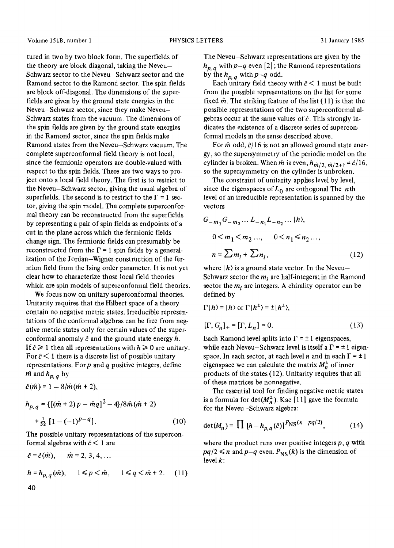tured in two by two block form. The superfields of the theory are block diagonal, taking the Neveu-Schwarz sector to the Neveu-Schwarz sector and the Ramond sector to the Ramond sector. The spin fields are block off-diagonal. The dimensions of the superfields are given by the ground state energies in the Neveu-Schwarz sector, since they make Neveu-Schwarz states from the vacuum. The dimensions of the spin fields are given by the ground state energies in the Ramond sector, since the spin fields make Ramond states from the Neveu-Schwarz vacuum. The complete superconformal field theory is not local, since the fermionic operators are double-valued with respect to the spin fields. There are two ways to project onto a local field theory. The first is to restrict to the Neveu-Schwarz sector, giving the usual algebra of superfields. The second is to restrict to the  $\Gamma = 1$  sector, giving the spin model. The complete superconformal theory can be reconstructed from the superfields by representing a pair of spin fields as endpoints of a cut in the plane across which the fermionic fields change sign. The fermionic fields can presumably be reconstructed from the  $\Gamma = 1$  spin fields by a generalization of the Jordan-Wigner construction of the fermion field from the Ising order parameter. It is not yet clear how to characterize those local field theories which are spin models of superconformal field theories.

We focus now on unitary superconformal theories. Unitarity requires that the Hilbert space of a theory contain no negative metric states. Irreducible representations of the conformal algebras can be free from negative metric states only for certain values of the superconformal anomaly  $\hat{c}$  and the ground state energy  $h$ . If  $\hat{c} \ge 1$  then all representations with  $h \ge 0$  are unitary. For  $\hat{c}$  < 1 there is a discrete list of possible unitary representations. For  $p$  and  $q$  positive integers, define  $m$  and  $h_{p, q}$  by

$$
\hat{c}(\hat{m})=1-8/\hat{m}(\hat{m}+2),
$$

$$
h_{p,q} = \{ [(\hat{m} + 2) p - \hat{m}q]^2 - 4 \} / 8 \hat{m} (\hat{m} + 2)
$$
  
+ 
$$
\frac{1}{32} [1 - (-1)^{p-q}].
$$
 (10)

The possible unitary representations of the superconformal algebras with  $\hat{c}$  < 1 are

$$
\hat{c} = \hat{c}(\hat{m}), \quad \hat{m} = 2, 3, 4, ...
$$
\n
$$
h = h_{p,q}(\hat{m}), \quad 1 \le p < \hat{m}, \quad 1 \le q < \hat{m} + 2. \quad (11)
$$
\n40

The Neveu-Schwarz representations are given by the  $h_{p,q}$  with  $p-q$  even [2]; the Ramond representations by the  $h_{p,q}$  with  $p-q$  odd.

Each unitary field theory with  $\hat{c}$  < 1 must be built from the possible representations on the list for some fixed  $\hat{m}$ . The striking feature of the list (11) is that the possible representations of the two superconformal algebras occur at the same values of  $\hat{c}$ . This strongly indicates the existence of a discrete series of superconformal models in the sense described above.

For  $\hat{m}$  odd,  $\hat{c}/16$  is not an allowed ground state energy, so the supersymmetry of the periodic model on the cylinder is broken. When  $\hat{m}$  is even,  $h_{\hat{m}/2, \hat{m}/2+1} = \hat{c}/16$ , so the supersymmetry on the cylinder is unbroken.

The constraint of unitarity applies level by level, since the eigenspaces of  $L_0$  are orthogonal The *nth* level of an irreducible representation is spanned by the vectors

$$
G_{-m_1}G_{-m_2}... L_{-n_1}L_{-n_2}... |h\rangle,
$$
  
\n
$$
0 < m_1 < m_2 ..., \quad 0 < n_1 \le n_2 ... ,
$$
  
\n
$$
n = \sum m_i + \sum n_i , \quad (12)
$$

where  $|h\rangle$  is a ground state vector. In the Neveu-Schwarz sector the  $m_i$  are half-integers; in the Ramond sector the  $m_i$  are integers. A chirality operator can be defined by

$$
\Gamma|h\rangle = |h\rangle \text{ or } \Gamma|h^{\pm}\rangle = \pm |h^{\pm}\rangle,
$$
  
[ $\Gamma, G_n$ ]<sub>+</sub> = [ $\Gamma, L_n$ ] = 0. (13)

Each Ramond level splits into  $\Gamma = \pm 1$  eigenspaces, while each Neveu-Schwarz level is itself a  $\Gamma = \pm 1$  eigenspace. In each sector, at each level n and in each  $\Gamma = \pm 1$ eigenspace we can calculate the matrix  $M_n^{\pm}$  of inner products of the states (12). Unitarity requires that all of these matrices be nonnegative.

The essential tool for finding negative metric states is a formula for  $\det(M_n^{\pm})$ . Kac [11] gave the formula for the Neveu-Schwarz algebra:

$$
\det(M_n) = \prod \left[ h - h_{p,q}(\hat{c}) \right]^P \text{NS}(n - pq/2), \tag{14}
$$

where the product runs over positive integers  $p, q$  with  $pq/2 \le n$  and  $p-q$  even.  $P_{NS}(k)$  is the dimension of level  $k$ :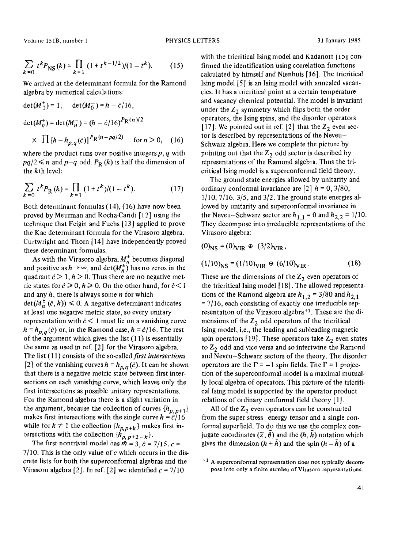Volume 151B, number 1 PHYSICS LETTERS 31 January 1985

$$
\sum_{k=0} t^k P_{\text{NS}}(k) = \prod_{k=1} (1 + t^{k-1/2})/(1 - t^k). \tag{15}
$$

We arrived at the determinant formula for the Ramond algebra by numerical calculations:

$$
\det(M_0^+) = 1, \quad \det(M_0^-) = h - \hat{c}/16,
$$
  
\n
$$
\det(M_n^+) = \det(M_n^-) = (h - \hat{c}/16)^P \text{R}^{(n)/2}
$$
  
\n
$$
\times \prod [h - h_{p,q}(\hat{c})]^P \text{R}^{(n-pq/2)} \quad \text{for } n > 0, \quad (16)
$$

where the product runs over positive integers  $p, q$  with  $pq/2 \le n$  and  $p-q$  odd.  $P_R(k)$  is half the dimension of the kth level:

$$
\sum_{k=0} t^k P_{\mathcal{R}}(k) = \prod_{k=1} (1 + t^k)/(1 - t^k). \tag{17}
$$

Both determinant formulas (14), (16) have now been proved by Meurman and Rocha-Caridi [12] using the technique that Feigin and Fuchs [13] applied to prove the Kac determinant formula for the Virasoro algebra. Curtwright and Thorn [14] have independently proved these determinant formulas.

As with the Virasoro algebra,  $M_n^{\pm}$  becomes diagonal and positive as  $h \to \infty$ , and det $(M_n^{\pm})$  has no zeros in the quadrant  $\hat{c} > 1$ ,  $h > 0$ . Thus there are no negative metric states for  $\hat{c} \ge 0, h \ge 0$ . On the other hand, for  $\hat{c} < 1$ and any  $h$ , there is always some  $n$  for which  $\det(M_n^{\pm}(\hat{c}, h)) \leq 0$ . A negative determinant indicates at least one negative metric state, so every unitary representation with  $\hat{c}$  < 1 must lie on a vanishing curve  $h = h_{p,q}(\hat{c})$  or, in the Ramond case,  $h = \hat{c}/16$ . The rest of the argument which gives the list  $(11)$  is essentially the same as used in ref. [2] for the Virasoro algebra. The list (11) consists of the *so-called first intersections*  [2] of the vanishing curves  $h = h_{p,q}(\hat{c})$ . It can be shown that there is a negative metric state between first intersections on each vanishing curve, which leaves only the first intersections as possible unitary representations. For the Ramond algebra there is a slight variation in the argument, because the collection of curves  $\{h_{p, p+1}\}$ makes first intersections with the single curve  $h = \hat{c}/16$ while for  $k \neq 1$  the collection  $\{h_{p, p+k}\}\$  makes first intersections with the collection  $\{\hat{h}_p, p+2-k\}.$ 

The first nontrivial model has  $\hat{m} = 3$ ,  $\hat{c} = 7/15$ .  $c =$  $7/10$ . This is the only value of c which occurs in the discrete lists for both the superconformal algebras and the Virasoro algebra [2]. In ref. [2] we identified  $c = 7/10$ 

with the tricritical Ising model and KadanoII  $|15|$  confirmed the identification using correlation functions calculated by himself and Nienhuis [16]. The tricritical Ising model [5] is an Ising model with annealed vacancies. It has a tricritical point at a certain temperature and vacancy chemical potential. The model is invariant under the  $Z_2$  symmetry which flips both the order operators, the Ising spins, and the disorder operators [17]. We pointed out in ref. [2] that the  $Z_2$  even sector is described by representations of the Neveu-Schwarz algebra. Here we complete the picture by pointing out that the  $Z_2$  odd sector is described by representations of the Ramond algebra. Thus the tricritical Ising model is a superconformal field theory.

The ground state energies allowed by unitarity and ordinary conformal invariance are [2]  $h = 0$ , 3/80,  $1/10$ ,  $7/16$ ,  $3/5$ , and  $3/2$ . The ground state energies allowed by unitarity and superconformal invariance in the Neveu-Schwarz sector are  $h_{1,1} = 0$  and  $h_{2,2} = 1/10$ . They decompose into irreducible representations of the Virasoro algebra:

$$
(0)_{\rm NS} = (0)_{\rm VIR} \oplus (3/2)_{\rm VIR},
$$

$$
(1/10)NS = (1/10)VIR \oplus (6/10)VIR.
$$
 (18)

These are the dimensions of the  $Z_2$  even operators of the tricritical Ising model [ 18]. The allowed representations of the Ramond algebra are  $h_{1,2} = 3/80$  and  $h_{2,1}$  $= 7/16$ , each consisting of exactly one irreducible representation of the Virasoro algebra \*1. These are the dimensions of the  $Z_2$  odd operators of the tricritical Ising model, i.e., the leading and subleading magnetic spin operators [19]. These operators take  $Z_2$  even states to  $Z_2$  odd and vice versa and so intertwine the Ramond and Neveu-Schwarz sectors of the theory. The disorder operators are the  $\Gamma = -1$  spin fields. The  $\Gamma = 1$  projection of the superconformal model is a maximal mutually local algebra of operators. This picture of the tricritical Ising model is supported by the operator product relations of ordinary conformal field theory [1].

All of the  $Z_2$  even operators can be constructed from the super stress-energy tensor and a single conformal superfield. To do this we use the complex conjugate coordinates  $(\bar{z}, \theta)$  and the  $(h, h)$  notation which gives the dimension  $(h + h)$  and the spin  $(h - h)$  of a

 $*1$  A superconformal representation does not typically decompose into only a finite number of Virasoro representations.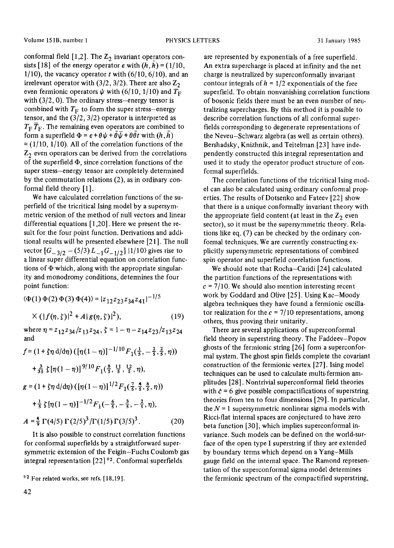conformal field  $[1,2]$ . The  $Z_2$  invariant operators consists [18] of the energy operator  $\epsilon$  with  $(h, h) = (1/10,$  $1/10$ , the vacancy operator t with  $(6/10, 6/10)$ , and an irrelevant operator with  $(3/2, 3/2)$ . There are also  $Z_2$ even fermionic operators  $\psi$  with (6/10, 1/10) and  $T_F$ with  $(3/2, 0)$ . The ordinary stress-energy tensor is combined with  $T_F$  to form the super stress-energy tensor, and the  $(3/2, 3/2)$  operator is interpreted as  $T_{\rm F}$   $\overline{T}_{\rm F}$ . The remaining even operators are combined to form a superfield  $\Phi = \epsilon + \theta \psi + \tilde{\theta} \overline{\psi} + \theta \overline{\theta} t$  with  $(h, \overline{h})$  $=(1/10, 1/10)$ . All of the correlation functions of the  $Z_2$  even operators can be derived from the correlations of the superfield  $\Phi$ , since correlation functions of the super stress-energy tensor are completely determined by the commutation relations (2), as in ordinary conformal field theory [1].

We have calculated correlation functions of the superfield of the tricritical Ising model by a supersymmetric version of the method of null vectors and linear differential equations [ 1,20]. Here we present the result for the four point function. Derivations and additional results will be presented elsewhere [21]. The null vector  $[G_{-3/2} - (5/3) L_{-1} G_{-1/2}]$  |1/10) gives rise to a linear super differential equation on correlation functions of  $\Phi$  which, along with the appropriate singularity and monodromy conditions, determines the four point function:

 $\langle \Phi(1) \Phi(2) \Phi(3) \Phi(4) \rangle = |z_{12}z_{23}z_{34}z_{41}|^{-1/5}$  $\times (|f(\eta, \zeta)|^2 + A|g(\eta, \zeta)|^2),$  (19) where  $\eta = z_{12}z_{34}/z_{13}z_{24}$ ,  $\zeta = 1 - \eta - z_{14}z_{23}/z_{13}z_{24}$ *and*   $f = (1 + \zeta \eta \, d/d\eta) \left( [\eta(1 - \eta)]^{-1/10} F_1(\frac{1}{5}, -\frac{2}{5}, \frac{2}{5}, \eta) \right)$ 

$$
+ \frac{3}{35} \zeta \left[ \eta (1 - \eta) \right]^{9/10} F_1(\frac{8}{5}, \frac{11}{5}, \frac{12}{5}, \eta),
$$
  
\n
$$
g = (1 + \zeta \eta \, d/d\eta) \left( \left[ \eta (1 - \eta) \right]^{1/2} F_1(\frac{7}{5}, \frac{4}{5}, \frac{8}{5}, \eta) \right)
$$
  
\n
$$
+ \frac{1}{5} \zeta \left[ \eta (1 - \eta) \right]^{-1/2} F_1(-\frac{6}{5}, -\frac{3}{5}, -\frac{2}{5}, \eta),
$$
  
\n
$$
A = \frac{4}{9} \Gamma(4/5) \Gamma(2/5)^3 / \Gamma(1/5) \Gamma(3/5)^3.
$$
 (20)

It is also possible to construct correlation functions for conformal superfields by a straightforward supersymmetric extension of the Feigin-Fuchs Coulomb gas integral representation [22] \*2. Conformal superfields

are represented by exponentials of a free superfield. An extra supercharge is placed at infinity and the net charge is neutralized by superconformally invariant contour integrals of  $h = 1/2$  exponentials of the free superfield. To obtain nonvanishing correlation functions of bosonic fields there must be an even number of neutralizing supercharges. By this method it is possible to describe correlation functions of all conformal superfields corresponding to degenerate representations of the Neveu-Schwarz algebra (as well as certain others). Bershadsky, Knizhnik, and Teitelman [23] have independently constructed this integral representation and used it to study the operator product structure of conformal superfields.

The correlation functions of the tricritical Ising model can also be calculated using ordinary conformal properties. The results of Dotsenko and Fateev [22] show that there is a unique conformally invariant theory with the appropriate field content (at least in the  $Z_2$  even sector), so it must be the supersymmetric theory. Relations like eq. (7) can be checked by the ordinary conformal techniques. We are currently constructing explicitly supersymmetric representations of combined spin operator and superfield correlation functions.

We should note that Rocha-Caridi [24] calculated the partition functions of the representations with  $c = 7/10$ . We should also mention interesting recent work by Goddard and Olive [25]. Using Kac-Moody algebra techniques they have found a fermionic oscillator realization for the  $c = 7/10$  representations, among others, thus proving their unitarity.

There are several applications of superconformal field theory in superstring theory. The Faddeev-Popov ghosts of the fermionic string [26] form a superconformal system. The ghost spin fields complete the covariant construction of the fermionic vertex [27]. Ising model techniques can be used to calculate multi-fermion amplitudes [28]. Nontrivial superconformal field theories with  $\hat{c} = 6$  give possible compactifications of superstring theories from ten to four dimensions [29]. In particular, the  $N = 1$  supersymmetric nonlinear sigma models with Ricci-flat internal spaces are conjectured to have zero beta function [30], which implies superconformal invariance. Such models can be defined on the world-surface of the open type I superstring if they are extended by boundary terms which depend on a Yang-Mills gauge field on the internal space. The Ramond representation of the superconformal sigma model determines the fermionic spectrum of the compactified superstring,

 $*<sup>2</sup>$  For related works, see refs. [18,19].